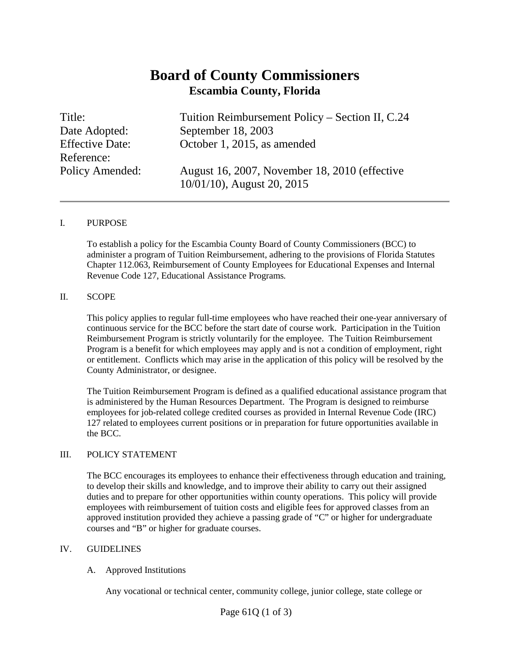# **Board of County Commissioners Escambia County, Florida**

Reference:

Title: Tuition Reimbursement Policy – Section II, C.24 Date Adopted: September 18, 2003 Effective Date: October 1, 2015, as amended

Policy Amended: August 16, 2007, November 18, 2010 (effective 10/01/10), August 20, 2015

#### I. PURPOSE

To establish a policy for the Escambia County Board of County Commissioners (BCC) to administer a program of Tuition Reimbursement, adhering to the provisions of Florida Statutes Chapter 112.063, Reimbursement of County Employees for Educational Expenses and Internal Revenue Code 127, Educational Assistance Programs*.* 

#### II. SCOPE

This policy applies to regular full-time employees who have reached their one-year anniversary of continuous service for the BCC before the start date of course work. Participation in the Tuition Reimbursement Program is strictly voluntarily for the employee. The Tuition Reimbursement Program is a benefit for which employees may apply and is not a condition of employment, right or entitlement. Conflicts which may arise in the application of this policy will be resolved by the County Administrator, or designee.

The Tuition Reimbursement Program is defined as a qualified educational assistance program that is administered by the Human Resources Department. The Program is designed to reimburse employees for job-related college credited courses as provided in Internal Revenue Code (IRC) 127 related to employees current positions or in preparation for future opportunities available in the BCC.

#### III. POLICY STATEMENT

The BCC encourages its employees to enhance their effectiveness through education and training, to develop their skills and knowledge, and to improve their ability to carry out their assigned duties and to prepare for other opportunities within county operations. This policy will provide employees with reimbursement of tuition costs and eligible fees for approved classes from an approved institution provided they achieve a passing grade of "C" or higher for undergraduate courses and "B" or higher for graduate courses.

#### IV. GUIDELINES

#### A. Approved Institutions

Any vocational or technical center, community college, junior college, state college or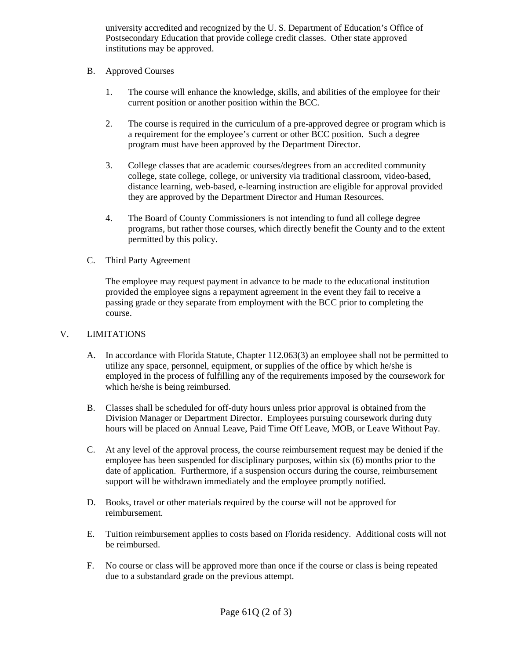university accredited and recognized by the U. S. Department of Education's Office of Postsecondary Education that provide college credit classes. Other state approved institutions may be approved.

## B. Approved Courses

- 1. The course will enhance the knowledge, skills, and abilities of the employee for their current position or another position within the BCC.
- 2. The course is required in the curriculum of a pre-approved degree or program which is a requirement for the employee's current or other BCC position. Such a degree program must have been approved by the Department Director.
- 3. College classes that are academic courses/degrees from an accredited community college, state college, college, or university via traditional classroom, video-based, distance learning, web-based, e-learning instruction are eligible for approval provided they are approved by the Department Director and Human Resources.
- 4. The Board of County Commissioners is not intending to fund all college degree programs, but rather those courses, which directly benefit the County and to the extent permitted by this policy.

## C. Third Party Agreement

The employee may request payment in advance to be made to the educational institution provided the employee signs a repayment agreement in the event they fail to receive a passing grade or they separate from employment with the BCC prior to completing the course.

## V. LIMITATIONS

- A. In accordance with Florida Statute, Chapter 112.063(3) an employee shall not be permitted to utilize any space, personnel, equipment, or supplies of the office by which he/she is employed in the process of fulfilling any of the requirements imposed by the coursework for which he/she is being reimbursed.
- B. Classes shall be scheduled for off-duty hours unless prior approval is obtained from the Division Manager or Department Director. Employees pursuing coursework during duty hours will be placed on Annual Leave, Paid Time Off Leave, MOB, or Leave Without Pay.
- C. At any level of the approval process, the course reimbursement request may be denied if the employee has been suspended for disciplinary purposes, within six (6) months prior to the date of application. Furthermore, if a suspension occurs during the course, reimbursement support will be withdrawn immediately and the employee promptly notified.
- D. Books, travel or other materials required by the course will not be approved for reimbursement.
- E. Tuition reimbursement applies to costs based on Florida residency. Additional costs will not be reimbursed.
- F. No course or class will be approved more than once if the course or class is being repeated due to a substandard grade on the previous attempt.